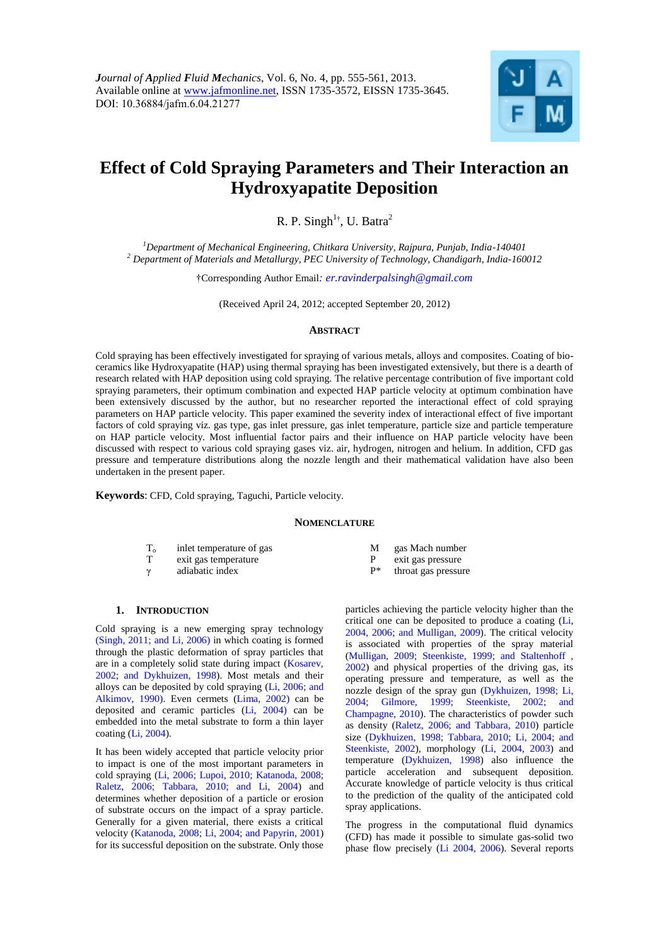

# <span id="page-0-0"></span>**Effect of Cold Spraying Parameters and Their Interaction an Hydroxyapatite Deposition**

R. P. Singh<sup>1†</sup>, U. Batra<sup>2</sup>

*<sup>1</sup>Department of Mechanical Engineering, Chitkara University, Rajpura, Punjab, India-140401 <sup>2</sup> Department of Materials and Metallurgy, PEC University of Technology, Chandigarh, India-160012*

†Corresponding Author Email*: er.ravinderpalsingh@gmail.com* 

(Received April 24, 2012; accepted September 20, 2012)

#### **ABSTRACT**

Cold spraying has been effectively investigated for spraying of various metals, alloys and composites. Coating of bioceramics like Hydroxyapatite (HAP) using thermal spraying has been investigated extensively, but there is a dearth of research related with HAP deposition using cold spraying. The relative percentage contribution of five important cold spraying parameters, their optimum combination and expected HAP particle velocity at optimum combination have been extensively discussed by the author, but no researcher reported the interactional effect of cold spraying parameters on HAP particle velocity. This paper examined the severity index of interactional effect of five important factors of cold spraying viz. gas type, gas inlet pressure, gas inlet temperature, particle size and particle temperature on HAP particle velocity. Most influential factor pairs and their influence on HAP particle velocity have been discussed with respect to various cold spraying gases viz. air, hydrogen, nitrogen and helium. In addition, CFD gas pressure and temperature distributions along the nozzle length and their mathematical validation have also been undertaken in the present paper.

**Keywords**: CFD, Cold spraying, Taguchi, Particle velocity.

#### **NOMENCLATURE**

| <b>T</b> | inlet temperature of gas | gas Mach numbe    |
|----------|--------------------------|-------------------|
|          | exit gas temperature     | exit gas pressure |
| $\gamma$ | adiabatic index          | throat gas pressu |

- γ adiabatic index P\* throat gas pressure
- M gas Mach number
- -

## **1. INTRODUCTION**

Cold spraying is a new emerging spray technology (Singh, 2011; and Li, 2006) in which coating is formed through the plastic deformation of spray particles that are in a completely solid state during impact (Kosarev, 2002; and Dykhuizen, 1998). Most metals and their alloys can be deposited by cold spraying (Li, 2006; and Alkimov, 1990). Even cermets (Lima, 2002) can be deposited and ceramic particles (Li, 2004) can be embedded into the metal substrate to form a thin layer coating (Li, 2004).

It has been widely accepted that particle velocity prior to impact is one of the most important parameters in cold spraying (Li, 2006; Lupoi, 2010; Katanoda, 2008; Raletz, 2006; Tabbara, 2010; and Li, 2004) and determines whether deposition of a particle or erosion of substrate occurs on the impact of a spray particle. Generally for a given material, there exists a critical velocity (Katanoda, 2008; Li, 2004; and Papyrin, 2001) for its successful deposition on the substrate. Only those

particles achieving the particle velocity higher than the critical one can be deposited to produce a coating (Li, 2004, 2006; and Mulligan, 2009). The critical velocity is associated with properties of the spray material (Mulligan, 2009; Steenkiste, 1999; and Staltenhoff , 2002) and physical properties of the driving gas, its operating pressure and temperature, as well as the nozzle design of the spray gun (Dykhuizen, 1998; Li, 2004; Gilmore, 1999; Steenkiste, 2002; and Champagne, 2010). The characteristics of powder such as density (Raletz, 2006; and Tabbara, 2010) particle size (Dykhuizen, 1998; Tabbara, 2010; Li, 2004; and Steenkiste, 2002), morphology (Li, 2004, 2003) and temperature (Dykhuizen, 1998) also influence the particle acceleration and subsequent deposition. Accurate knowledge of particle velocity is thus critical to the prediction of the quality of the anticipated cold spray applications.

The progress in the computational fluid dynamics (CFD) has made it possible to simulate gas-solid two phase flow precisely (Li 2004, 2006). Several reports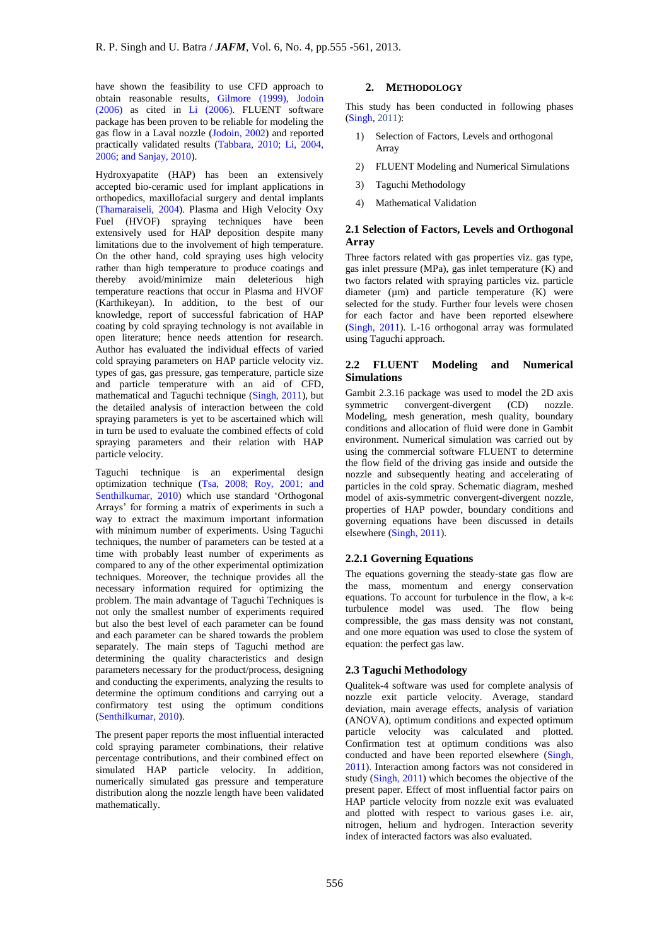have shown the feasibility to use CFD approach to obtain reasonable results, Gilmore (1999), Jodoin (2006) as cited in Li (2006). FLUENT software package has been proven to be reliable for modeling the gas flow in a Laval nozzle (Jodoin, 2002) and reported practically validated results (Tabbara, 2010; Li, 2004, 2006; and Sanjay, 2010).

Hydroxyapatite (HAP) has been an extensively accepted bio-ceramic used for implant applications in orthopedics, maxillofacial surgery and dental implants (Thamaraiseli, 2004). Plasma and High Velocity Oxy Fuel (HVOF) spraying techniques have been extensively used for HAP deposition despite many limitations due to the involvement of high temperature. On the other hand, cold spraying uses high velocity rather than high temperature to produce coatings and thereby avoid/minimize main deleterious high temperature reactions that occur in Plasma and HVOF (Karthikeyan). In addition, to the best of our knowledge, report of successful fabrication of HAP coating by cold spraying technology is not available in open literature; hence needs attention for research. Author has evaluated the individual effects of varied cold spraying parameters on HAP particle velocity viz. types of gas, gas pressure, gas temperature, particle size and particle temperature with an aid of CFD, mathematical and Taguchi technique (Singh, 2011), but the detailed analysis of interaction between the cold spraying parameters is yet to be ascertained which will in turn be used to evaluate the combined effects of cold spraying parameters and their relation with HAP particle velocity.

Taguchi technique is an experimental design optimization technique (Tsa, 2008; Roy, 2001; and Senthilkumar, 2010) which use standard 'Orthogonal Arrays' for forming a matrix of experiments in such a way to extract the maximum important information with minimum number of experiments. Using Taguchi techniques, the number of parameters can be tested at a time with probably least number of experiments as compared to any of the other experimental optimization techniques. Moreover, the technique provides all the necessary information required for optimizing the problem. The main advantage of Taguchi Techniques is not only the smallest number of experiments required but also the best level of each parameter can be found and each parameter can be shared towards the problem separately. The main steps of Taguchi method are determining the quality characteristics and design parameters necessary for the product/process, designing and conducting the experiments, analyzing the results to determine the optimum conditions and carrying out a confirmatory test using the optimum conditions (Senthilkumar, 2010).

The present paper reports the most influential interacted cold spraying parameter combinations, their relative percentage contributions, and their combined effect on simulated HAP particle velocity. In addition, numerically simulated gas pressure and temperature distribution along the nozzle length have been validated mathematically.

## **2. METHODOLOGY**

This study has been conducted in following phases (Singh, 2011):

- 1) Selection of Factors, Levels and orthogonal Array
- 2) FLUENT Modeling and Numerical Simulations
- 3) Taguchi Methodology
- 4) Mathematical Validation

## **2.1 Selection of Factors, Levels and Orthogonal Array**

Three factors related with gas properties viz. gas type, gas inlet pressure (MPa), gas inlet temperature (K) and two factors related with spraying particles viz. particle diameter ( $\mu$ m) and particle temperature ( $\overline{K}$ ) were selected for the study. Further four levels were chosen for each factor and have been reported elsewhere (Singh, 2011). L-16 orthogonal array was formulated using Taguchi approach.

## **2.2 FLUENT Modeling and Numerical Simulations**

Gambit 2.3.16 package was used to model the 2D axis symmetric convergent-divergent (CD) nozzle. Modeling, mesh generation, mesh quality, boundary conditions and allocation of fluid were done in Gambit environment. Numerical simulation was carried out by using the commercial software FLUENT to determine the flow field of the driving gas inside and outside the nozzle and subsequently heating and accelerating of particles in the cold spray. Schematic diagram, meshed model of axis-symmetric convergent-divergent nozzle, properties of HAP powder, boundary conditions and governing equations have been discussed in details elsewhere (Singh, 2011).

## **2.2.1 Governing Equations**

The equations governing the steady-state gas flow are the mass, momentum and energy conservation equations. To account for turbulence in the flow, a k-ε turbulence model was used. The flow being compressible, the gas mass density was not constant, and one more equation was used to close the system of equation: the perfect gas law.

#### **2.3 Taguchi Methodology**

Qualitek-4 software was used for complete analysis of nozzle exit particle velocity. Average, standard deviation, main average effects, analysis of variation (ANOVA), optimum conditions and expected optimum particle velocity was calculated and plotted. Confirmation test at optimum conditions was also conducted and have been reported elsewhere (Singh, 2011). Interaction among factors was not considered in study (Singh, 2011) which becomes the objective of the present paper. Effect of most influential factor pairs on HAP particle velocity from nozzle exit was evaluated and plotted with respect to various gases i.e. air, nitrogen, helium and hydrogen. Interaction severity index of interacted factors was also evaluated.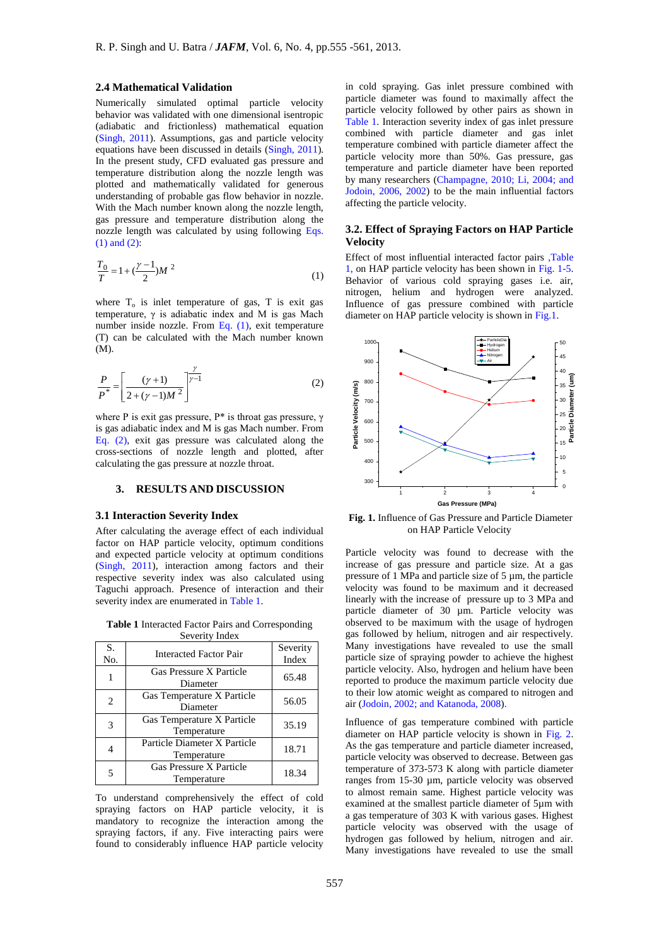#### **2.4 Mathematical Validation**

Numerically simulated optimal particle velocity behavior was validated with one dimensional isentropic (adiabatic and frictionless) mathematical equation (Singh, 2011). Assumptions, gas and particle velocity equations have been discussed in details (Singh, 2011). In the present study, CFD evaluated gas pressure and temperature distribution along the nozzle length was plotted and mathematically validated for generous understanding of probable gas flow behavior in nozzle. With the Mach number known along the nozzle length, gas pressure and temperature distribution along the nozzle length was calculated by using following Eqs. (1) and (2):

$$
\frac{T_0}{T} = 1 + \left(\frac{\gamma - 1}{2}\right) M^2 \tag{1}
$$

where  $T<sub>o</sub>$  is inlet temperature of gas, T is exit gas temperature, γ is adiabatic index and M is gas Mach number inside nozzle. From Eq.  $(1)$ , exit temperature (T) can be calculated with the Mach number known (M).

$$
\frac{P}{P^*} = \left[ \frac{(\gamma + 1)}{2 + (\gamma - 1)M^2} \right]^{\frac{\gamma}{\gamma - 1}}
$$
\n(2)

where P is exit gas pressure,  $P^*$  is throat gas pressure,  $\gamma$ is gas adiabatic index and M is gas Mach number. From Eq. (2), exit gas pressure was calculated along the cross-sections of nozzle length and plotted, after calculating the gas pressure at nozzle throat.

### **3. RESULTS AND DISCUSSION**

#### **3.1 Interaction Severity Index**

After calculating the average effect of each individual factor on HAP particle velocity, optimum conditions and expected particle velocity at optimum conditions (Singh, 2011), interaction among factors and their respective severity index was also calculated using Taguchi approach. Presence of interaction and their severity index are enumerated in Table 1.

**Table 1** Interacted Factor Pairs and Corresponding Severity Index

| S.<br>No.      | <b>Interacted Factor Pair</b>               | Severity<br>Index |
|----------------|---------------------------------------------|-------------------|
| 1              | Gas Pressure X Particle<br>Diameter         | 65.48             |
| $\overline{c}$ | Gas Temperature X Particle<br>Diameter      | 56.05             |
| 3              | Gas Temperature X Particle<br>Temperature   | 35.19             |
|                | Particle Diameter X Particle<br>Temperature | 18.71             |
|                | Gas Pressure X Particle<br>Temperature      | 18.34             |

To understand comprehensively the effect of cold spraying factors on HAP particle velocity, it is mandatory to recognize the interaction among the spraying factors, if any. Five interacting pairs were found to considerably influence HAP particle velocity

in cold spraying. Gas inlet pressure combined with particle diameter was found to maximally affect the particle velocity followed by other pairs as shown in Table 1. Interaction severity index of gas inlet pressure combined with particle diameter and gas inlet temperature combined with particle diameter affect the particle velocity more than 50%. Gas pressure, gas temperature and particle diameter have been reported by many researchers (Champagne, 2010; Li, 2004; and Jodoin, 2006, 2002) to be the main influential factors affecting the particle velocity.

## **3.2. Effect of Spraying Factors on HAP Particle Velocity**

Effect of most influential interacted factor pairs ,Table 1, on HAP particle velocity has been shown in Fig. 1-5. Behavior of various cold spraying gases i.e. air, nitrogen, helium and hydrogen were analyzed. Influence of gas pressure combined with particle diameter on HAP particle velocity is shown in Fig.1.



**Fig. 1.** Influence of Gas Pressure and Particle Diameter on HAP Particle Velocity

Particle velocity was found to decrease with the increase of gas pressure and particle size. At a gas pressure of 1 MPa and particle size of 5 µm, the particle velocity was found to be maximum and it decreased linearly with the increase of pressure up to 3 MPa and particle diameter of 30 µm. Particle velocity was observed to be maximum with the usage of hydrogen gas followed by helium, nitrogen and air respectively. Many investigations have revealed to use the small particle size of spraying powder to achieve the highest particle velocity. Also, hydrogen and helium have been reported to produce the maximum particle velocity due to their low atomic weight as compared to nitrogen and air (Jodoin, 2002; and Katanoda, 2008).

Influence of gas temperature combined with particle diameter on HAP particle velocity is shown in Fig. 2. As the gas temperature and particle diameter increased, particle velocity was observed to decrease. Between gas temperature of 373-573 K along with particle diameter ranges from 15-30 µm, particle velocity was observed to almost remain same. Highest particle velocity was examined at the smallest particle diameter of 5µm with a gas temperature of 303 K with various gases. Highest particle velocity was observed with the usage of hydrogen gas followed by helium, nitrogen and air. Many investigations have revealed to use the small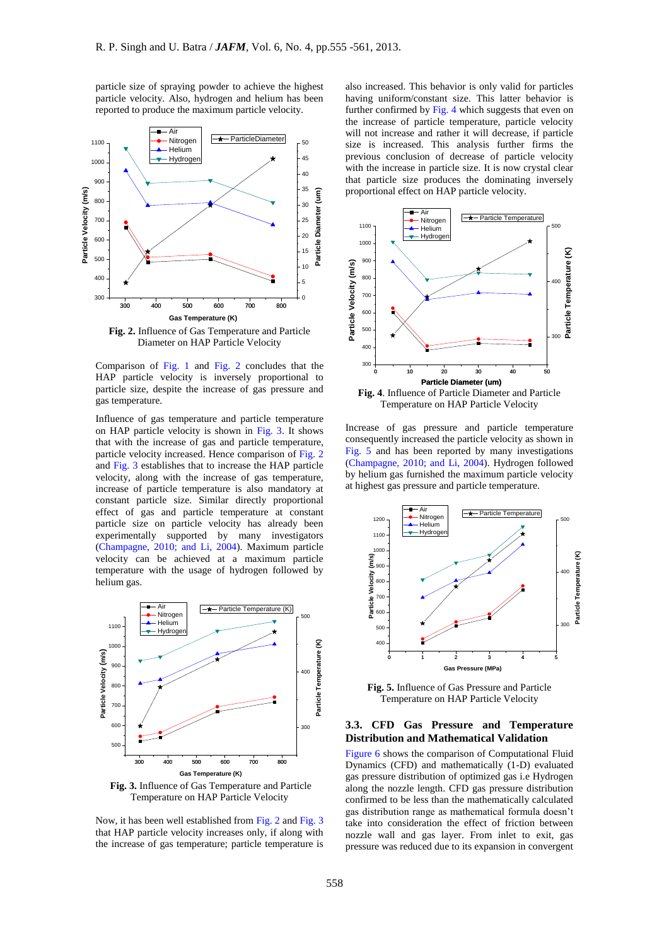particle size of spraying powder to achieve the highest particle velocity. Also, hydrogen and helium has been reported to produce the maximum particle velocity.



Comparison of Fig. 1 and Fig. 2 concludes that the

HAP particle velocity is inversely proportional to particle size, despite the increase of gas pressure and gas temperature.

Influence of gas temperature and particle temperature on HAP particle velocity is shown in Fig. 3. It shows that with the increase of gas and particle temperature, particle velocity increased. Hence comparison of Fig. 2 and Fig. 3 establishes that to increase the HAP particle velocity, along with the increase of gas temperature, increase of particle temperature is also mandatory at constant particle size. Similar directly proportional effect of gas and particle temperature at constant particle size on particle velocity has already been experimentally supported by many investigators (Champagne, 2010; and Li, 2004). Maximum particle velocity can be achieved at a maximum particle temperature with the usage of hydrogen followed by helium gas.



Temperature on HAP Particle Velocity

Now, it has been well established from Fig. 2 and Fig. 3 that HAP particle velocity increases only, if along with the increase of gas temperature; particle temperature is

also increased. This behavior is only valid for particles having uniform/constant size. This latter behavior is further confirmed by Fig. 4 which suggests that even on the increase of particle temperature, particle velocity will not increase and rather it will decrease, if particle size is increased. This analysis further firms the previous conclusion of decrease of particle velocity with the increase in particle size. It is now crystal clear that particle size produces the dominating inversely proportional effect on HAP particle velocity.



Temperature on HAP Particle Velocity

Increase of gas pressure and particle temperature consequently increased the particle velocity as shown in Fig. 5 and has been reported by many investigations (Champagne, 2010; and Li, 2004). Hydrogen followed by helium gas furnished the maximum particle velocity at highest gas pressure and particle temperature.



**Fig. 5.** Influence of Gas Pressure and Particle Temperature on HAP Particle Velocity

#### **3.3. CFD Gas Pressure and Temperature Distribution and Mathematical Validation**

Figure 6 shows the comparison of Computational Fluid Dynamics (CFD) and mathematically (1-D) evaluated gas pressure distribution of optimized gas i.e Hydrogen along the nozzle length. CFD gas pressure distribution confirmed to be less than the mathematically calculated gas distribution range as mathematical formula doesn't take into consideration the effect of friction between nozzle wall and gas layer. From inlet to exit, gas pressure was reduced due to its expansion in convergent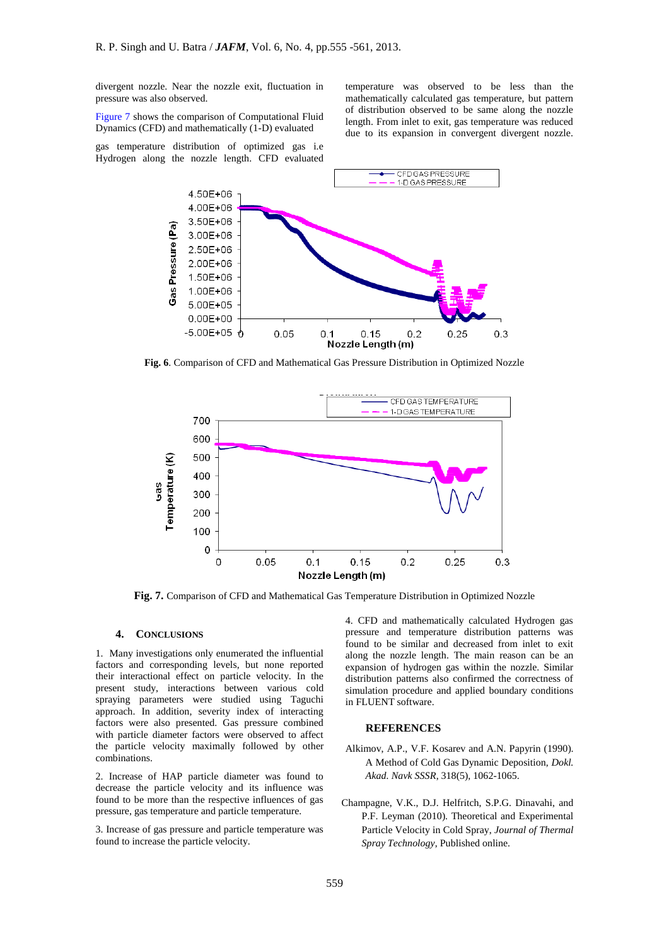divergent nozzle. Near the nozzle exit, fluctuation in pressure was also observed.

Figure 7 shows the comparison of Computational Fluid Dynamics (CFD) and mathematically (1-D) evaluated

gas temperature distribution of optimized gas i.e Hydrogen along the nozzle length. CFD evaluated

temperature was observed to be less than the mathematically calculated gas temperature, but pattern of distribution observed to be same along the nozzle length. From inlet to exit, gas temperature was reduced due to its expansion in convergent divergent nozzle.



**Fig. 6**. Comparison of CFD and Mathematical Gas Pressure Distribution in Optimized Nozzle



**Fig. 7.** Comparison of CFD and Mathematical Gas Temperature Distribution in Optimized Nozzle

## **4. CONCLUSIONS**

1. Many investigations only enumerated the influential factors and corresponding levels, but none reported their interactional effect on particle velocity. In the present study, interactions between various cold spraying parameters were studied using Taguchi approach. In addition, severity index of interacting factors were also presented. Gas pressure combined with particle diameter factors were observed to affect the particle velocity maximally followed by other combinations.

2. Increase of HAP particle diameter was found to decrease the particle velocity and its influence was found to be more than the respective influences of gas pressure, gas temperature and particle temperature.

3. Increase of gas pressure and particle temperature was found to increase the particle velocity.

4. CFD and mathematically calculated Hydrogen gas pressure and temperature distribution patterns was found to be similar and decreased from inlet to exit along the nozzle length. The main reason can be an expansion of hydrogen gas within the nozzle. Similar distribution patterns also confirmed the correctness of simulation procedure and applied boundary conditions in FLUENT software.

#### **REFERENCES**

- Alkimov, A.P., V.F. Kosarev and A.N. Papyrin (1990). A Method of Cold Gas Dynamic Deposition, *Dokl. Akad. Navk SSSR*, 318(5), 1062-1065.
- Champagne, V.K., D.J. Helfritch, S.P.G. Dinavahi, and P.F. Leyman (2010). Theoretical and Experimental Particle Velocity in Cold Spray, *Journal of Thermal Spray Technology*, Published online.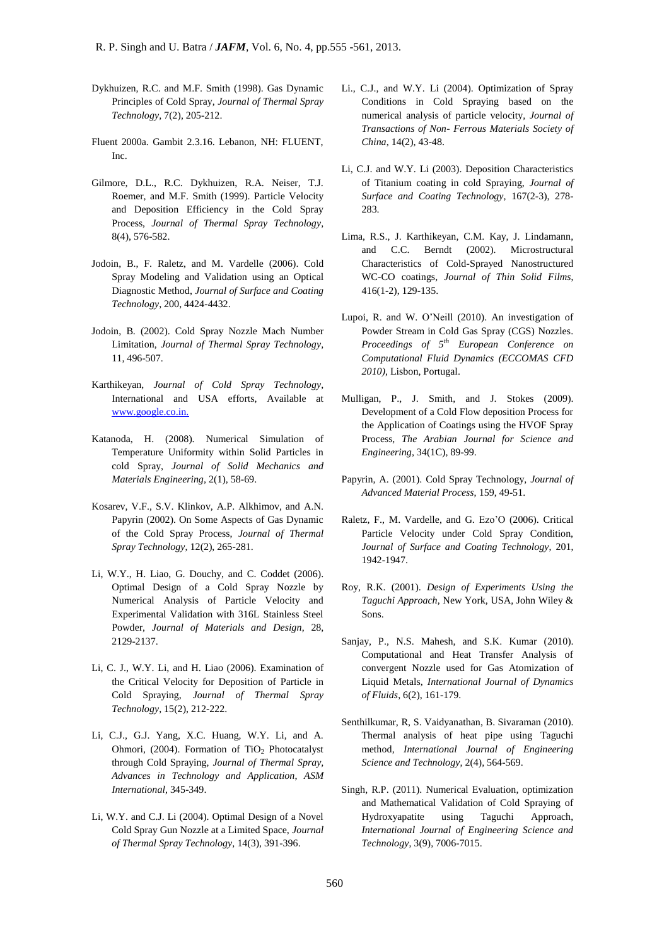- Dykhuizen, R.C. and M.F. Smith (1998). Gas Dynamic Principles of Cold Spray, *Journal of Thermal Spray Technology*, 7(2), 205-212.
- Fluent 2000a. Gambit 2.3.16. Lebanon, NH: FLUENT, Inc.
- Gilmore, D.L., R.C. Dykhuizen, R.A. Neiser, T.J. Roemer, and M.F. Smith (1999). Particle Velocity and Deposition Efficiency in the Cold Spray Process, *Journal of Thermal Spray Technology*, 8(4), 576-582.
- Jodoin, B., F. Raletz, and M. Vardelle (2006). Cold Spray Modeling and Validation using an Optical Diagnostic Method, *Journal of Surface and Coating Technology*, 200, 4424-4432.
- Jodoin, B. (2002). Cold Spray Nozzle Mach Number Limitation, *Journal of Thermal Spray Technology*, 11, 496-507.
- Karthikeyan, *Journal of Cold Spray Technology*, International and USA efforts, Available at [www.google.co.in.](#page-0-0)
- Katanoda, H. (2008). Numerical Simulation of Temperature Uniformity within Solid Particles in cold Spray, *Journal of Solid Mechanics and Materials Engineering*, 2(1), 58-69.
- Kosarev, V.F., S.V. Klinkov, A.P. Alkhimov, and A.N. Papyrin (2002). On Some Aspects of Gas Dynamic of the Cold Spray Process, *Journal of Thermal Spray Technology*, 12(2), 265-281.
- Li, W.Y., H. Liao, G. Douchy, and C. Coddet (2006). Optimal Design of a Cold Spray Nozzle by Numerical Analysis of Particle Velocity and Experimental Validation with 316L Stainless Steel Powder, *Journal of Materials and Design*, 28, 2129-2137.
- Li, C. J., W.Y. Li, and H. Liao (2006). Examination of the Critical Velocity for Deposition of Particle in Cold Spraying, *Journal of Thermal Spray Technology*, 15(2), 212-222.
- Li, C.J., G.J. Yang, X.C. Huang, W.Y. Li, and A. Ohmori, (2004). Formation of TiO<sub>2</sub> Photocatalyst through Cold Spraying, *Journal of Thermal Spray, Advances in Technology and Application*, *ASM International*, 345-349.
- Li, W.Y. and C.J. Li (2004). Optimal Design of a Novel Cold Spray Gun Nozzle at a Limited Space, *Journal of Thermal Spray Technology*, 14(3), 391-396.
- Li., C.J., and W.Y. Li (2004). Optimization of Spray Conditions in Cold Spraying based on the numerical analysis of particle velocity, *Journal of Transactions of Non- Ferrous Materials Society of China*, 14(2), 43-48.
- Li, C.J. and W.Y. Li (2003). Deposition Characteristics of Titanium coating in cold Spraying, *Journal of Surface and Coating Technology*, 167(2-3), 278- 283.
- Lima, R.S., J. Karthikeyan, C.M. Kay, J. Lindamann, and C.C. Berndt (2002). Microstructural Characteristics of Cold-Sprayed Nanostructured WC-CO coatings*, Journal of Thin Solid Films*, 416(1-2), 129-135.
- Lupoi, R. and W. O'Neill (2010). An investigation of Powder Stream in Cold Gas Spray (CGS) Nozzles. *Proceedings of 5th European Conference on Computational Fluid Dynamics (ECCOMAS CFD 2010)*, Lisbon, Portugal.
- Mulligan, P., J. Smith, and J. Stokes (2009). Development of a Cold Flow deposition Process for the Application of Coatings using the HVOF Spray Process, *The Arabian Journal for Science and Engineering*, 34(1C), 89-99.
- Papyrin, A. (2001). Cold Spray Technology, *Journal of Advanced Material Process*, 159, 49-51.
- Raletz, F., M. Vardelle, and G. Ezo'O (2006). Critical Particle Velocity under Cold Spray Condition, *Journal of Surface and Coating Technology*, 201, 1942-1947.
- Roy, R.K. (2001). *Design of Experiments Using the Taguchi Approach*, New York, USA, John Wiley & Sons.
- Sanjay, P., N.S. Mahesh, and S.K. Kumar (2010). Computational and Heat Transfer Analysis of convergent Nozzle used for Gas Atomization of Liquid Metals, *International Journal of Dynamics of Fluids*, 6(2), 161-179.
- Senthilkumar, R, S. Vaidyanathan, B. Sivaraman (2010). Thermal analysis of heat pipe using Taguchi method, *International Journal of Engineering Science and Technology*, 2(4), 564-569.
- Singh, R.P. (2011). Numerical Evaluation, optimization and Mathematical Validation of Cold Spraying of Hydroxyapatite using Taguchi Approach, *International Journal of Engineering Science and Technology*, 3(9), 7006-7015.